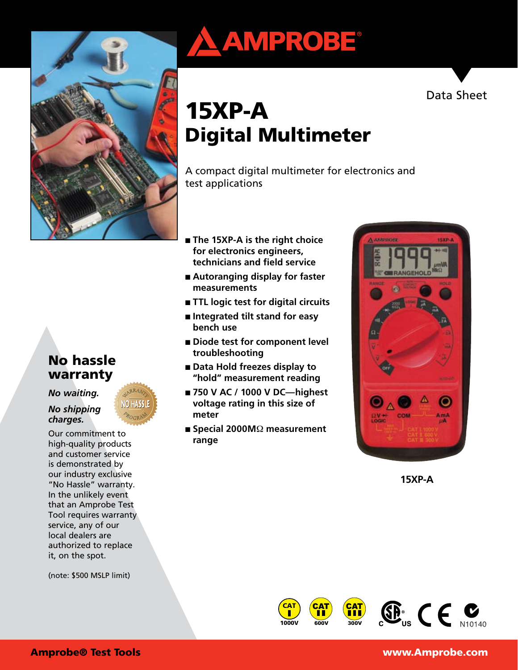

# No hassle warranty

*No waiting.* 

*No shipping charges.*

Our commitment to high-quality products and customer service is demonstrated by our industry exclusive "No Hassle" warranty. In the unlikely event that an Amprobe Test Tool requires warranty service, any of our local dealers are authorized to replace it, on the spot.

(note: \$500 MSLP limit)





# 15XP-A Digital Multimeter

A compact digital multimeter for electronics and test applications

- **The 15XP-A is the right choice for electronics engineers, technicians and field service**
- **Autoranging display for faster measurements**
- **TTL logic test for digital circuits**
- **Integrated tilt stand for easy bench use**
- **Diode test for component level troubleshooting**
- **Data Hold freezes display to "hold" measurement reading**
- 750 V AC / 1000 V DC—highest **voltage rating in this size of meter**
- Special 2000M<sup>Ω</sup> measurement **range**



**15XP-A**







Amprobe® Test Tools www.Amprobe.com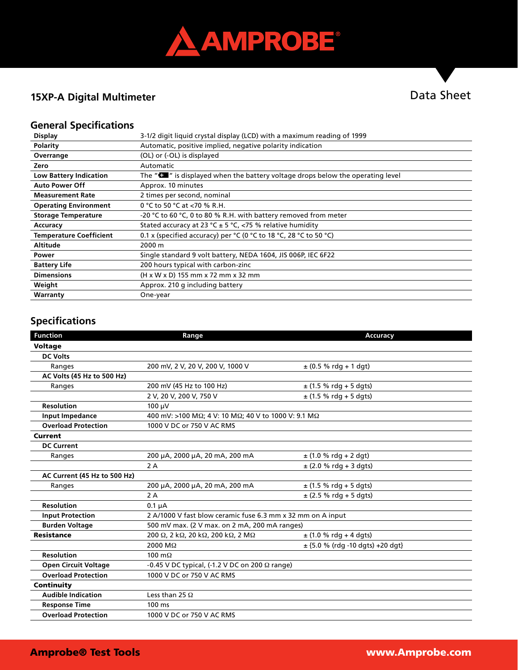

#### **15XP-A Digital Multimeter**

# Data Sheet

#### **General Specifications**

| <b>Display</b>                 | 3-1/2 digit liquid crystal display (LCD) with a maximum reading of 1999                      |  |  |
|--------------------------------|----------------------------------------------------------------------------------------------|--|--|
| <b>Polarity</b>                | Automatic, positive implied, negative polarity indication                                    |  |  |
| Overrange                      | (OL) or (-OL) is displayed                                                                   |  |  |
| Zero                           | Automatic                                                                                    |  |  |
| <b>Low Battery Indication</b>  | The " $\blacksquare$ " is displayed when the battery voltage drops below the operating level |  |  |
| <b>Auto Power Off</b>          | Approx. 10 minutes                                                                           |  |  |
| <b>Measurement Rate</b>        | 2 times per second, nominal                                                                  |  |  |
| <b>Operating Environment</b>   | 0 °C to 50 °C at <70 % R.H.                                                                  |  |  |
| <b>Storage Temperature</b>     | -20 °C to 60 °C, 0 to 80 % R.H. with battery removed from meter                              |  |  |
| Accuracy                       | Stated accuracy at 23 °C $\pm$ 5 °C, <75 % relative humidity                                 |  |  |
| <b>Temperature Coefficient</b> | 0.1 x (specified accuracy) per °C (0 °C to 18 °C, 28 °C to 50 °C)                            |  |  |
| <b>Altitude</b>                | 2000 m                                                                                       |  |  |
| Power                          | Single standard 9 volt battery, NEDA 1604, JIS 006P, IEC 6F22                                |  |  |
| <b>Battery Life</b>            | 200 hours typical with carbon-zinc                                                           |  |  |
| <b>Dimensions</b>              | (H x W x D) 155 mm x 72 mm x 32 mm                                                           |  |  |
| Weight                         | Approx. 210 g including battery                                                              |  |  |
| Warranty                       | One-year                                                                                     |  |  |

#### **Specifications**

| <b>Function</b>              | Range                                                       | <b>Accuracy</b>                      |  |
|------------------------------|-------------------------------------------------------------|--------------------------------------|--|
| <b>Voltage</b>               |                                                             |                                      |  |
| <b>DC Volts</b>              |                                                             |                                      |  |
| Ranges                       | 200 mV, 2 V, 20 V, 200 V, 1000 V                            | $±$ (0.5 % rdg + 1 dgt)              |  |
| AC Volts (45 Hz to 500 Hz)   |                                                             |                                      |  |
| Ranges                       | 200 mV (45 Hz to 100 Hz)                                    | $\pm$ (1.5 % rdg + 5 dgts)           |  |
|                              | 2 V, 20 V, 200 V, 750 V                                     | $\pm$ (1.5 % rdg + 5 dgts)           |  |
| <b>Resolution</b>            | 100 µV                                                      |                                      |  |
| <b>Input Impedance</b>       | 400 mV: >100 MΩ; 4 V: 10 MΩ; 40 V to 1000 V: 9.1 MΩ         |                                      |  |
| <b>Overload Protection</b>   | 1000 V DC or 750 V AC RMS                                   |                                      |  |
| Current                      |                                                             |                                      |  |
| <b>DC Current</b>            |                                                             |                                      |  |
| Ranges                       | 200 µA, 2000 µA, 20 mA, 200 mA                              | $\pm$ (1.0 % rdg + 2 dgt)            |  |
|                              | 2A                                                          | $\pm$ (2.0 % rdg + 3 dgts)           |  |
| AC Current (45 Hz to 500 Hz) |                                                             |                                      |  |
| Ranges                       | 200 µA, 2000 µA, 20 mA, 200 mA                              | $\pm$ (1.5 % rdg + 5 dgts)           |  |
|                              | 2A                                                          | $±$ (2.5 % rdg + 5 dgts)             |  |
| <b>Resolution</b>            | $0.1 \mu A$                                                 |                                      |  |
| <b>Input Protection</b>      | 2 A/1000 V fast blow ceramic fuse 6.3 mm x 32 mm on A input |                                      |  |
| <b>Burden Voltage</b>        | 500 mV max. (2 V max. on 2 mA, 200 mA ranges)               |                                      |  |
| <b>Resistance</b>            | 200 Ω, 2 kΩ, 20 kΩ, 200 kΩ, 2 MΩ                            | $\pm$ (1.0 % rdg + 4 dgts)           |  |
|                              | 2000 MQ                                                     | $\pm$ {5.0 % (rdg -10 dgts) +20 dgt} |  |
| <b>Resolution</b>            | 100 $m\Omega$                                               |                                      |  |
| <b>Open Circuit Voltage</b>  | $-0.45$ V DC typical, (-1.2 V DC on 200 $\Omega$ range)     |                                      |  |
| <b>Overload Protection</b>   | 1000 V DC or 750 V AC RMS                                   |                                      |  |
| Continuity                   |                                                             |                                      |  |
| <b>Audible Indication</b>    | Less than 25 $\Omega$                                       |                                      |  |
| <b>Response Time</b>         | $100 \text{ ms}$                                            |                                      |  |
| <b>Overload Protection</b>   | 1000 V DC or 750 V AC RMS                                   |                                      |  |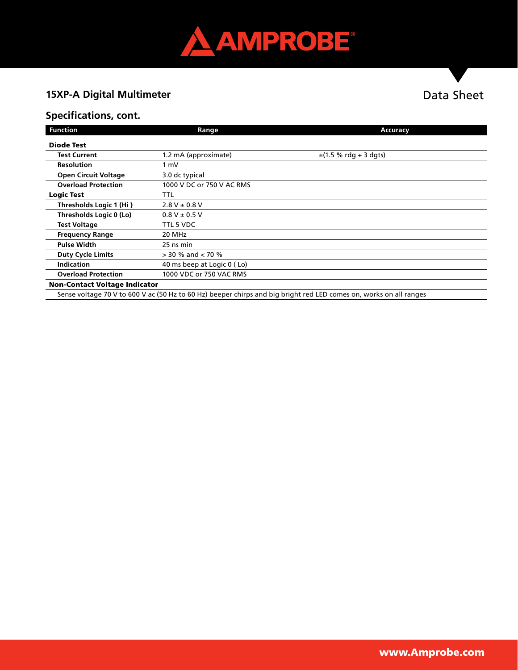

# **15XP-A Digital Multimeter**

### **Specifications, cont.**

| <b>Function</b>                                                                                                                                                                                                                                                                                                                                                                                                                                                    | Range                      | <b>Accuracy</b>            |  |
|--------------------------------------------------------------------------------------------------------------------------------------------------------------------------------------------------------------------------------------------------------------------------------------------------------------------------------------------------------------------------------------------------------------------------------------------------------------------|----------------------------|----------------------------|--|
| <b>Diode Test</b>                                                                                                                                                                                                                                                                                                                                                                                                                                                  |                            |                            |  |
| <b>Test Current</b>                                                                                                                                                                                                                                                                                                                                                                                                                                                | 1.2 mA (approximate)       | $\pm$ (1.5 % rdg + 3 dgts) |  |
| <b>Resolution</b>                                                                                                                                                                                                                                                                                                                                                                                                                                                  | 1 mV                       |                            |  |
| <b>Open Circuit Voltage</b>                                                                                                                                                                                                                                                                                                                                                                                                                                        | 3.0 dc typical             |                            |  |
| <b>Overload Protection</b>                                                                                                                                                                                                                                                                                                                                                                                                                                         | 1000 V DC or 750 V AC RMS  |                            |  |
| <b>Logic Test</b>                                                                                                                                                                                                                                                                                                                                                                                                                                                  | TTL                        |                            |  |
| Thresholds Logic 1 (Hi)                                                                                                                                                                                                                                                                                                                                                                                                                                            | $2.8 V \pm 0.8 V$          |                            |  |
| Thresholds Logic 0 (Lo)                                                                                                                                                                                                                                                                                                                                                                                                                                            | $0.8 V \pm 0.5 V$          |                            |  |
| <b>Test Voltage</b>                                                                                                                                                                                                                                                                                                                                                                                                                                                | TTL 5 VDC                  |                            |  |
| <b>Frequency Range</b>                                                                                                                                                                                                                                                                                                                                                                                                                                             | 20 MHz                     |                            |  |
| <b>Pulse Width</b>                                                                                                                                                                                                                                                                                                                                                                                                                                                 | 25 ns min                  |                            |  |
| <b>Duty Cycle Limits</b>                                                                                                                                                                                                                                                                                                                                                                                                                                           | $>$ 30 % and $<$ 70 %      |                            |  |
| <b>Indication</b>                                                                                                                                                                                                                                                                                                                                                                                                                                                  | 40 ms beep at Logic 0 (Lo) |                            |  |
| <b>Overload Protection</b>                                                                                                                                                                                                                                                                                                                                                                                                                                         | 1000 VDC or 750 VAC RMS    |                            |  |
| <b>Non-Contact Voltage Indicator</b>                                                                                                                                                                                                                                                                                                                                                                                                                               |                            |                            |  |
| <b><i>PERSONAL PROPERTY AND RESIDENT</i></b><br>$\sigma$ is $\pi$ , $\sigma$ , $\sigma$ , $\sigma$ , $\sigma$ , $\sigma$ , $\sigma$ , $\sigma$ , $\sigma$ , $\sigma$ , $\sigma$ , $\sigma$ , $\sigma$ , $\sigma$ , $\sigma$ , $\sigma$ , $\sigma$ , $\sigma$ , $\sigma$ , $\sigma$ , $\sigma$ , $\sigma$ , $\sigma$ , $\sigma$ , $\sigma$ , $\sigma$ , $\sigma$ , $\sigma$ , $\sigma$ , $\sigma$ , $\sigma$ , $\sigma$ , $\sigma$ , $\sigma$ , $\sigma$ , $\sigma$ |                            |                            |  |

Sense voltage 70 V to 600 V ac (50 Hz to 60 Hz) beeper chirps and big bright red LED comes on, works on all ranges